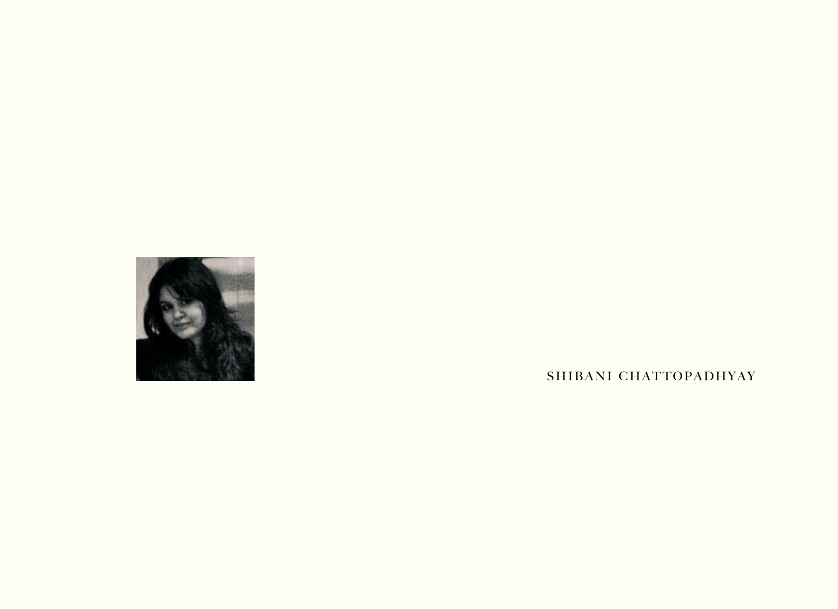

SHIBANI CHATTOPADHYAY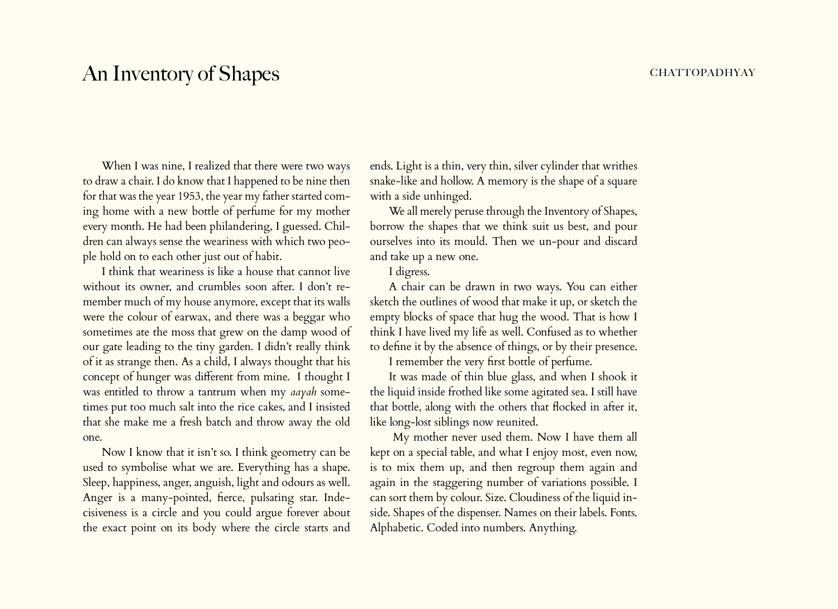## An Inventory of Shapes **chattachers** chattopadhyay

When I was nine, I realized that there were two ways to draw a chair. I do know that I happened to be nine then for that was the year 1953, the year my father started coming home with a new bottle of perfume for my mother every month. He had been philandering, I guessed. Children can always sense the weariness with which two people hold on to each other just out of habit.

I think that weariness is like a house that cannot live without its owner, and crumbles soon after. I don't remember much of my house anymore, except that its walls were the colour of earwax, and there was a beggar who sometimes ate the moss that grew on the damp wood of our gate leading to the tiny garden. I didn't really think of it as strange then. As a child, I always thought that his concept of hunger was different from mine. I thought I was entitled to throw a tantrum when my *aayah* sometimes put too much salt into the rice cakes, and I insisted that she make me a fresh batch and throw away the old one.

Now I know that it isn't so. I think geometry can be used to symbolise what we are. Everything has a shape. Sleep, happiness, anger, anguish, light and odours as well. Anger is a many-pointed, fierce, pulsating star. Indecisiveness is a circle and you could argue forever about the exact point on its body where the circle starts and

ends. Light is a thin, very thin, silver cylinder that writhes snake-like and hollow. A memory is the shape of a square with a side unhinged.

We all merely peruse through the Inventory of Shapes, borrow the shapes that we think suit us best, and pour ourselves into its mould. Then we un-pour and discard and take up a new one.

I digress.

A chair can be drawn in two ways. You can either sketch the outlines of wood that make it up, or sketch the empty blocks of space that hug the wood. That is how I think I have lived my life as well. Confused as to whether to define it by the absence of things, or by their presence.

I remember the very first bottle of perfume.

It was made of thin blue glass, and when I shook it the liquid inside frothed like some agitated sea. I still have that bottle, along with the others that flocked in after it, like long-lost siblings now reunited.

 My mother never used them. Now I have them all kept on a special table, and what I enjoy most, even now, is to mix them up, and then regroup them again and again in the staggering number of variations possible. I can sort them by colour. Size. Cloudiness of the liquid inside. Shapes of the dispenser. Names on their labels. Fonts. Alphabetic. Coded into numbers. Anything.